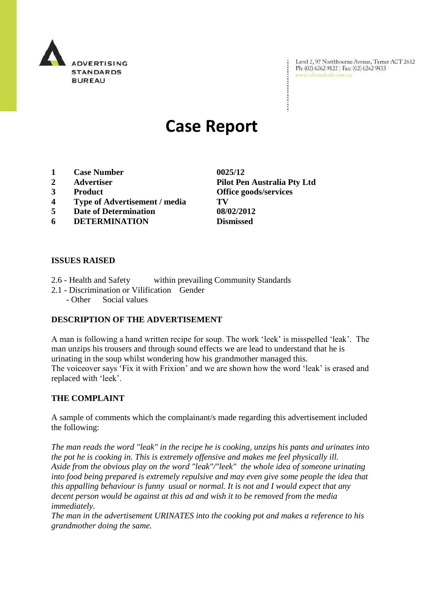

Level 2, 97 Northbourne Avenue, Turner ACT 2612 Ph: (02) 6262 9822 | Fax: (02) 6262 9833 www.adstandards.com.au

# **Case Report**

- **1 Case Number 0025/12**
- 
- 
- **4 Type of Advertisement / media TV**
- **5 Date of Determination 08/02/2012**
- **6 DETERMINATION Dismissed**

### **ISSUES RAISED**

- 2.6 Health and Safety within prevailing Community Standards
- 2.1 Discrimination or Vilification Gender
	- Other Social values

## **DESCRIPTION OF THE ADVERTISEMENT**

A man is following a hand written recipe for soup. The work "leek" is misspelled "leak". The man unzips his trousers and through sound effects we are lead to understand that he is urinating in the soup whilst wondering how his grandmother managed this. The voiceover says 'Fix it with Frixion' and we are shown how the word 'leak' is erased and replaced with "leek".

#### **THE COMPLAINT**

A sample of comments which the complainant/s made regarding this advertisement included the following:

*The man reads the word "leak" in the recipe he is cooking, unzips his pants and urinates into the pot he is cooking in. This is extremely offensive and makes me feel physically ill. Aside from the obvious play on the word "leak"/"leek" the whole idea of someone urinating into food being prepared is extremely repulsive and may even give some people the idea that this appalling behaviour is funny usual or normal. It is not and I would expect that any decent person would be against at this ad and wish it to be removed from the media immediately.*

*The man in the advertisement URINATES into the cooking pot and makes a reference to his grandmother doing the same.*

**2 Advertiser Pilot Pen Australia Pty Ltd 3 Product Office goods/services**

÷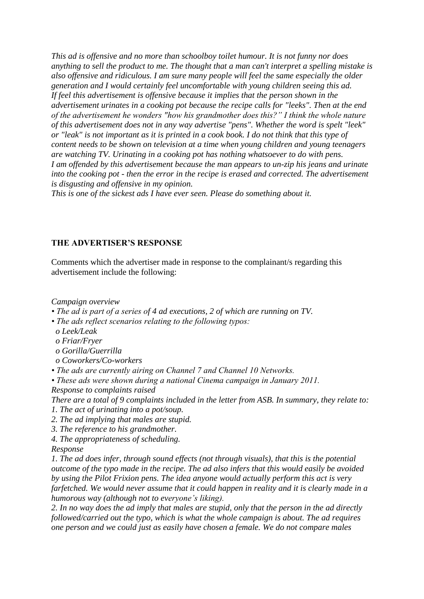*This ad is offensive and no more than schoolboy toilet humour. It is not funny nor does anything to sell the product to me. The thought that a man can't interpret a spelling mistake is also offensive and ridiculous. I am sure many people will feel the same especially the older generation and I would certainly feel uncomfortable with young children seeing this ad. If feel this advertisement is offensive because it implies that the person shown in the advertisement urinates in a cooking pot because the recipe calls for "leeks". Then at the end of the advertisement he wonders "how his grandmother does this?" I think the whole nature of this advertisement does not in any way advertise "pens". Whether the word is spelt "leek" or "leak" is not important as it is printed in a cook book. I do not think that this type of content needs to be shown on television at a time when young children and young teenagers are watching TV. Urinating in a cooking pot has nothing whatsoever to do with pens. I am offended by this advertisement because the man appears to un-zip his jeans and urinate into the cooking pot - then the error in the recipe is erased and corrected. The advertisement is disgusting and offensive in my opinion.*

*This is one of the sickest ads I have ever seen. Please do something about it.*

#### **THE ADVERTISER'S RESPONSE**

Comments which the advertiser made in response to the complainant/s regarding this advertisement include the following:

*Campaign overview*

*• The ad is part of a series of 4 ad executions, 2 of which are running on TV.*

- *The ads reflect scenarios relating to the following typos:*
- *o Leek/Leak*
- *o Friar/Fryer*
- *o Gorilla/Guerrilla*
- *o Coworkers/Co-workers*

*• The ads are currently airing on Channel 7 and Channel 10 Networks.*

*• These ads were shown during a national Cinema campaign in January 2011. Response to complaints raised*

*There are a total of 9 complaints included in the letter from ASB. In summary, they relate to: 1. The act of urinating into a pot/soup.*

- *2. The ad implying that males are stupid.*
- *3. The reference to his grandmother.*
- *4. The appropriateness of scheduling.*
- *Response*

*1. The ad does infer, through sound effects (not through visuals), that this is the potential outcome of the typo made in the recipe. The ad also infers that this would easily be avoided by using the Pilot Frixion pens. The idea anyone would actually perform this act is very farfetched. We would never assume that it could happen in reality and it is clearly made in a humorous way (although not to everyone's liking).*

*2. In no way does the ad imply that males are stupid, only that the person in the ad directly followed/carried out the typo, which is what the whole campaign is about. The ad requires one person and we could just as easily have chosen a female. We do not compare males*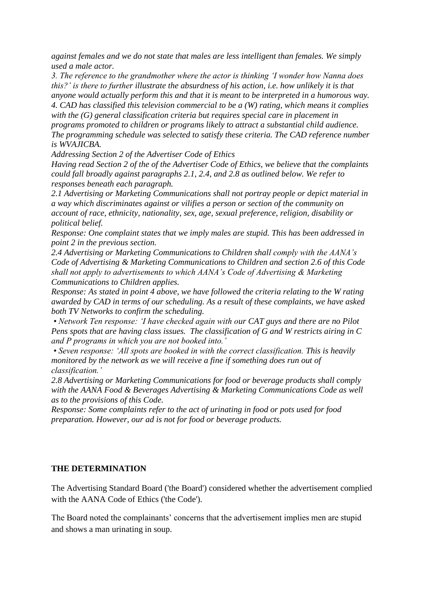*against females and we do not state that males are less intelligent than females. We simply used a male actor.*

*3. The reference to the grandmother where the actor is thinking 'I wonder how Nanna does this?' is there to further illustrate the absurdness of his action, i.e. how unlikely it is that anyone would actually perform this and that it is meant to be interpreted in a humorous way. 4. CAD has classified this television commercial to be a (W) rating, which means it complies with the (G) general classification criteria but requires special care in placement in programs promoted to children or programs likely to attract a substantial child audience. The programming schedule was selected to satisfy these criteria. The CAD reference number* 

*is WVAJICBA.*

*Addressing Section 2 of the Advertiser Code of Ethics*

*Having read Section 2 of the of the Advertiser Code of Ethics, we believe that the complaints could fall broadly against paragraphs 2.1, 2.4, and 2.8 as outlined below. We refer to responses beneath each paragraph.*

*2.1 Advertising or Marketing Communications shall not portray people or depict material in a way which discriminates against or vilifies a person or section of the community on account of race, ethnicity, nationality, sex, age, sexual preference, religion, disability or political belief.*

*Response: One complaint states that we imply males are stupid. This has been addressed in point 2 in the previous section.*

*2.4 Advertising or Marketing Communications to Children shall comply with the AANA's Code of Advertising & Marketing Communications to Children and section 2.6 of this Code shall not apply to advertisements to which AANA's Code of Advertising & Marketing Communications to Children applies.*

*Response: As stated in point 4 above, we have followed the criteria relating to the W rating awarded by CAD in terms of our scheduling. As a result of these complaints, we have asked both TV Networks to confirm the scheduling.* 

*• Network Ten response: 'I have checked again with our CAT guys and there are no Pilot Pens spots that are having class issues. The classification of G and W restricts airing in C and P programs in which you are not booked into.'*

*• Seven response: 'All spots are booked in with the correct classification. This is heavily monitored by the network as we will receive a fine if something does run out of classification.'*

*2.8 Advertising or Marketing Communications for food or beverage products shall comply with the AANA Food & Beverages Advertising & Marketing Communications Code as well as to the provisions of this Code.*

*Response: Some complaints refer to the act of urinating in food or pots used for food preparation. However, our ad is not for food or beverage products.*

## **THE DETERMINATION**

The Advertising Standard Board ('the Board') considered whether the advertisement complied with the AANA Code of Ethics ('the Code').

The Board noted the complainants" concerns that the advertisement implies men are stupid and shows a man urinating in soup.